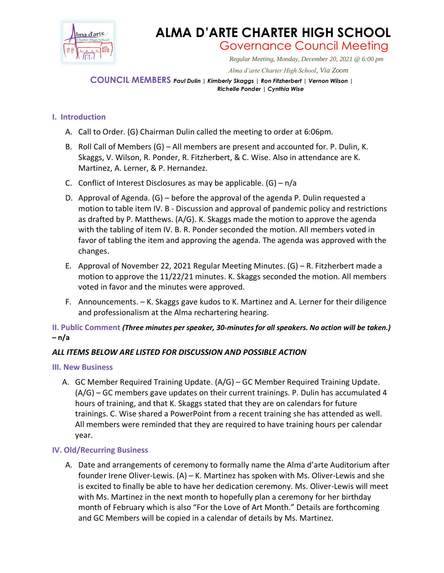

# **ALMA D'ARTE CHARTER HIGH SCHOOL** Governance Council Meeting

*Regular Meeting, Monday, December 20, 2021 @ 6:00 pm*

 *Alma d'arte Charter High School, Via Zoom*

**COUNCIL MEMBERS** *Paul Dulin | Kimberly Skaggs | Ron Fitzherbert <sup>|</sup> Vernon Wilson | Richelle Ponder | Cynthia Wise*

## **I. Introduction**

- A. Call to Order. (G) Chairman Dulin called the meeting to order at 6:06pm.
- B. Roll Call of Members (G) All members are present and accounted for. P. Dulin, K. Skaggs, V. Wilson, R. Ponder, R. Fitzherbert, & C. Wise. Also in attendance are K. Martinez, A. Lerner, & P. Hernandez.
- C. Conflict of Interest Disclosures as may be applicable.  $(G) n/a$
- D. Approval of Agenda. (G) before the approval of the agenda P. Dulin requested a motion to table item IV. B - Discussion and approval of pandemic policy and restrictions as drafted by P. Matthews. (A/G). K. Skaggs made the motion to approve the agenda with the tabling of item IV. B. R. Ponder seconded the motion. All members voted in favor of tabling the item and approving the agenda. The agenda was approved with the changes.
- E. Approval of November 22, 2021 Regular Meeting Minutes. (G) R. Fitzherbert made a motion to approve the 11/22/21 minutes. K. Skaggs seconded the motion. All members voted in favor and the minutes were approved.
- F. Announcements. K. Skaggs gave kudos to K. Martinez and A. Lerner for their diligence and professionalism at the Alma rechartering hearing.

## **II. Public Comment** *(Three minutes per speaker, 30-minutes for all speakers. No action will be taken.) –* **n/a**

## *ALL ITEMS BELOW ARE LISTED FOR DISCUSSION AND POSSIBLE ACTION*

### **III. New Business**

A. GC Member Required Training Update. (A/G) – GC Member Required Training Update. (A/G) – GC members gave updates on their current trainings. P. Dulin has accumulated 4 hours of training, and that K. Skaggs stated that they are on calendars for future trainings. C. Wise shared a PowerPoint from a recent training she has attended as well. All members were reminded that they are required to have training hours per calendar year.

## **IV. Old/Recurring Business**

A. Date and arrangements of ceremony to formally name the Alma d'arte Auditorium after founder Irene Oliver-Lewis. (A) – K. Martinez has spoken with Ms. Oliver-Lewis and she is excited to finally be able to have her dedication ceremony. Ms. Oliver-Lewis will meet with Ms. Martinez in the next month to hopefully plan a ceremony for her birthday month of February which is also "For the Love of Art Month." Details are forthcoming and GC Members will be copied in a calendar of details by Ms. Martinez.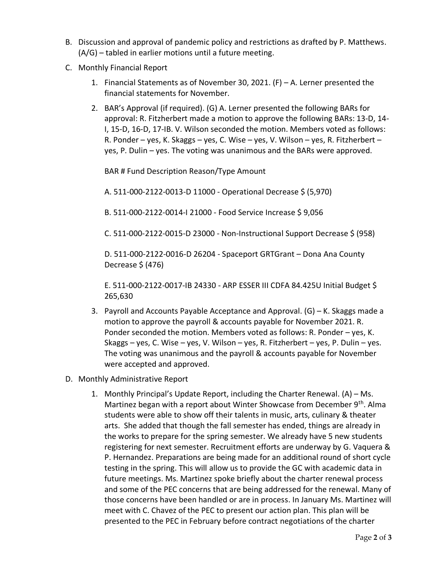- B. Discussion and approval of pandemic policy and restrictions as drafted by P. Matthews. (A/G) – tabled in earlier motions until a future meeting.
- C. Monthly Financial Report
	- 1. Financial Statements as of November 30, 2021. (F) A. Lerner presented the financial statements for November.
	- 2. BAR's Approval (if required). (G) A. Lerner presented the following BARs for approval: R. Fitzherbert made a motion to approve the following BARs: 13-D, 14- I, 15-D, 16-D, 17-IB. V. Wilson seconded the motion. Members voted as follows: R. Ponder – yes, K. Skaggs – yes, C. Wise – yes, V. Wilson – yes, R. Fitzherbert – yes, P. Dulin – yes. The voting was unanimous and the BARs were approved.

BAR # Fund Description Reason/Type Amount

A. 511-000-2122-0013-D 11000 - Operational Decrease \$ (5,970)

B. 511-000-2122-0014-I 21000 - Food Service Increase \$ 9,056

C. 511-000-2122-0015-D 23000 - Non-Instructional Support Decrease \$ (958)

D. 511-000-2122-0016-D 26204 - Spaceport GRTGrant – Dona Ana County Decrease \$ (476)

E. 511-000-2122-0017-IB 24330 - ARP ESSER III CDFA 84.425U Initial Budget \$ 265,630

- 3. Payroll and Accounts Payable Acceptance and Approval. (G) K. Skaggs made a motion to approve the payroll & accounts payable for November 2021. R. Ponder seconded the motion. Members voted as follows: R. Ponder – yes, K. Skaggs – yes, C. Wise – yes, V. Wilson – yes, R. Fitzherbert – yes, P. Dulin – yes. The voting was unanimous and the payroll & accounts payable for November were accepted and approved.
- D. Monthly Administrative Report
	- 1. Monthly Principal's Update Report, including the Charter Renewal. (A) Ms. Martinez began with a report about Winter Showcase from December 9<sup>th</sup>. Alma students were able to show off their talents in music, arts, culinary & theater arts. She added that though the fall semester has ended, things are already in the works to prepare for the spring semester. We already have 5 new students registering for next semester. Recruitment efforts are underway by G. Vaquera & P. Hernandez. Preparations are being made for an additional round of short cycle testing in the spring. This will allow us to provide the GC with academic data in future meetings. Ms. Martinez spoke briefly about the charter renewal process and some of the PEC concerns that are being addressed for the renewal. Many of those concerns have been handled or are in process. In January Ms. Martinez will meet with C. Chavez of the PEC to present our action plan. This plan will be presented to the PEC in February before contract negotiations of the charter